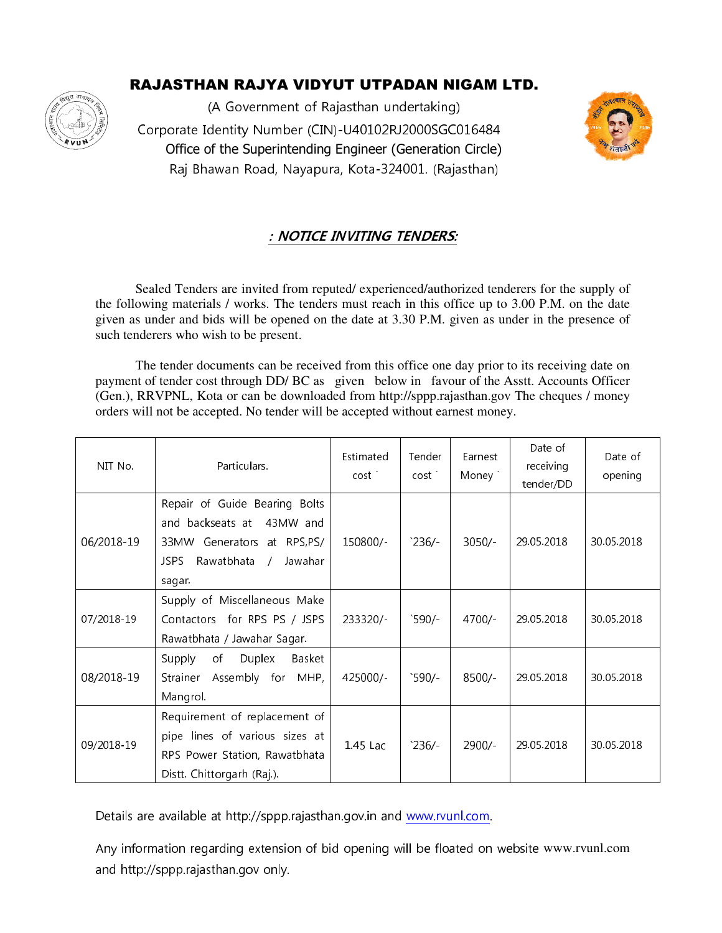# RAJASTHAN RAJYA VIDYUT UTPADAN NIGAM LTD.



(A Government of Rajasthan undertaking) !"!#
\$#!!!%!"& ' Office of the Superintending Engineer (Generation Circle) Raj Bhawan Road, Nayapura, Kota-324001. (Rajasthan)



### : NOTICE INVITING TENDERS:

 Sealed Tenders are invited from reputed/ experienced/authorized tenderers for the supply of the following materials / works. The tenders must reach in this office up to 3.00 P.M. on t given as under and bids will be opened on the date at 3.30 P.M. given as under in the presence of such tenderers who wish to be present. In stead to the date at 3.30 P.M. given as under in the presence of aderers who wish to be present.<br>The tender documents can be received from this office one day prior to its receiving date on Sealed Tenders are invited from reputed/ experienced/authorized tenderers for the supply of following materials / works. The tenders must reach in this office up to 3.00 P.M. on the date en as under and bids will be opened

payment of tender cost through DD/BC as given below in favour of the Asstt. Accounts Officer payment of tender cost through DD/ BC as given below in favour of the Asstt. Accounts Officer (Gen.), RRVPNL, Kota or can be downloaded from http://sppp.rajasthan.gov The cheques / money orders will not be accepted. No tender will be accepted without earnest money.

| NIT No.    | Particulars.                                                                                                                                                | Estimated<br>cost | Tender<br>cost' | Earnest<br>Money ` | Date of<br>receiving<br>tender/DD | Date of<br>opening |
|------------|-------------------------------------------------------------------------------------------------------------------------------------------------------------|-------------------|-----------------|--------------------|-----------------------------------|--------------------|
| 06/2018-19 | Repair of Guide Bearing Bolts<br>and backseats at 43MW and<br>33MW Generators at RPS,PS/<br><b>JSPS</b><br>Rawatbhata<br>Jawahar<br>$\mathcal{L}$<br>sagar. | 150800/-          | 236/            | $3050/-$           | 29.05.2018                        | 30.05.2018         |
| 07/2018-19 | Supply of Miscellaneous Make<br>Contactors for RPS PS / JSPS<br>Rawatbhata / Jawahar Sagar.                                                                 | 233320/-          | $590/-$         | $4700/-$           | 29.05.2018                        | 30.05.2018         |
| 08/2018-19 | Duplex<br>Supply<br>of<br>Basket<br>Assembly for MHP,<br>Strainer<br>Mangrol.                                                                               | 425000/-          | $590/-$         | $8500/-$           | 29.05.2018                        | 30.05.2018         |
| 09/2018-19 | Requirement of replacement of<br>pipe lines of various sizes at<br>RPS Power Station, Rawatbhata<br>Distt. Chittorgarh (Raj.).                              | $1.45$ Lac        | 236/            | $2900/-$           | 29.05.2018                        | 30.05.2018         |

Details are available at http://sppp.rajasthan.gov.in and www.rvunl.com.

Any information regarding extension of bid opening will be floated on website www.rvunl.com<br>and http://sppp.rajasthan.gov only. and http://sppp.rajasthan.gov only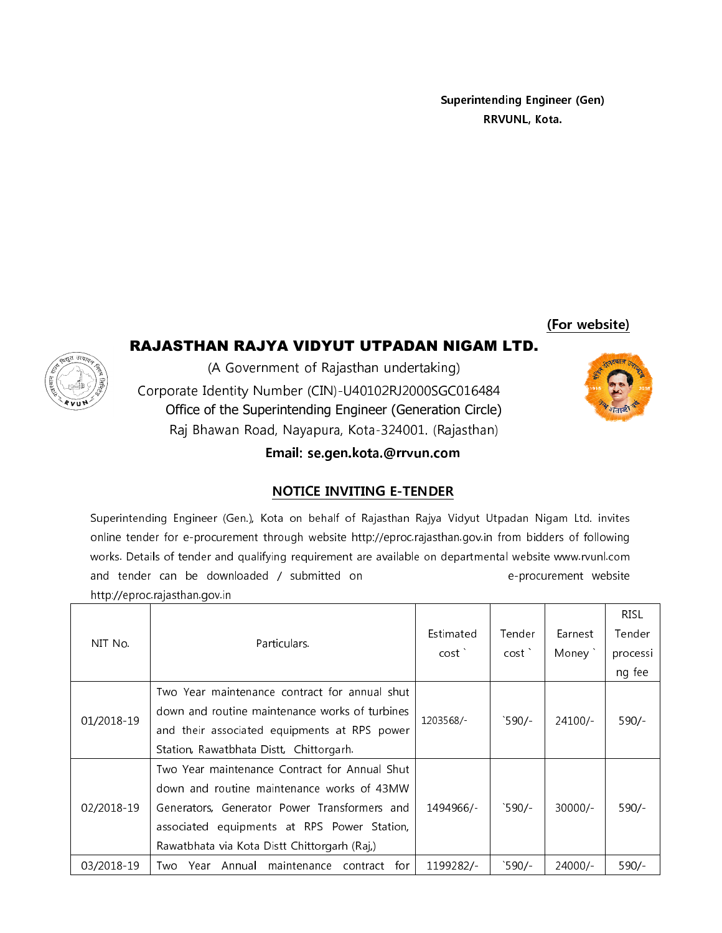**Superintending Engineer (Gen)** RRVUNL, Kota.

(For website)

## RAJASTHAN RAJYA VIDYUT UTPADAN NIGAM LTD.



(A Government of Rajasthan undertaking) Corporate Identity Number (CIN)-U40102RJ2000SGC016484 Office of the Superintending Engineer (Generation Circle) Raj Bhawan Road, Nayapura, Kota-324001. (Rajasthan)

Email: se.gen.kota.@rrvun.com

## **NOTICE INVITING E-TENDER**

Superintending Engineer (Gen.), Kota on behalf of Rajasthan Rajya Vidyut Utpadan Nigam Ltd. invites online tender for e-procurement through website http://eproc.rajasthan.gov.in from bidders of following works. Details of tender and qualifying requirement are available on departmental website www.rvunl.com and tender can be downloaded / submitted on e-procurement website http://eproc.rajasthan.gov.in

| NIT No.    |                                                   |           |                 |           | <b>RISL</b> |
|------------|---------------------------------------------------|-----------|-----------------|-----------|-------------|
|            | Particulars.                                      | Estimated | Tender          | Earnest   | Tender      |
|            |                                                   | cost      | cost            | Money `   | processi    |
|            |                                                   |           |                 |           | ng fee      |
|            | Two Year maintenance contract for annual shut     |           | 590/            | 24100/    |             |
| 01/2018-19 | down and routine maintenance works of turbines    | 1203568/- |                 |           | 590/        |
|            | and their associated equipments at RPS power      |           |                 |           |             |
|            | Station, Rawatbhata Distt, Chittorgarh.           |           |                 |           |             |
| 02/2018-19 | Two Year maintenance Contract for Annual Shut     |           |                 |           |             |
|            | down and routine maintenance works of 43MW        |           |                 |           |             |
|            | Generators, Generator Power Transformers and      | 1494966/- | $^{\circ}590/-$ | $30000/-$ | $590/-$     |
|            | associated equipments at RPS Power Station,       |           |                 |           |             |
|            | Rawatbhata via Kota Distt Chittorgarh (Raj,)      |           |                 |           |             |
| 03/2018-19 | Year Annual maintenance<br>for<br>contract<br>Two | 1199282/- | $^{\circ}590/-$ | 24000/-   | $590/-$     |